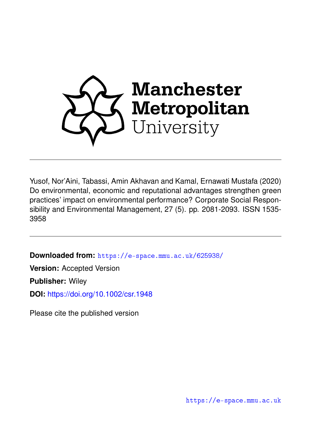

Yusof, Nor'Aini, Tabassi, Amin Akhavan and Kamal, Ernawati Mustafa (2020) Do environmental, economic and reputational advantages strengthen green practices' impact on environmental performance? Corporate Social Responsibility and Environmental Management, 27 (5). pp. 2081-2093. ISSN 1535- 3958

**Downloaded from:** <https://e-space.mmu.ac.uk/625938/>

**Version:** Accepted Version

**Publisher:** Wiley

**DOI:** <https://doi.org/10.1002/csr.1948>

Please cite the published version

<https://e-space.mmu.ac.uk>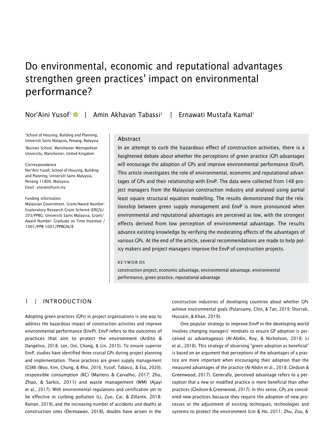# Do environmental, economic and reputational advantages strengthen green practices' impact on environmental performance?

Nor'Aini Yusof' © | Amin Akhavan Tabassi<sup>2</sup> | Ernawati Mustafa Kamal'

<sup>1</sup>School of Housing, Building and Planning, Universiti Sains Malaysia, Penang, Malaysia <sup>2</sup>Busines School, Manchester Metropolitan University, Manchester, United Kingdom

#### Correspondence

Nor'Aini Yusof, School of Housing, Building and Planning, Universiti Sains Malaysia, Penang 11800, Malaysia. Email: [ynoraini@usm.my](mailto:ynoraini@usm.my)

Funding information Malaysian Government, Grant/Award Number: Exploratory Research Grant Scheme (ERGS)/

203/PPBG; Universiti Sains Malaysia, Grant/ Award Number: Graduate on Time Incentive / 1001/PPB 1001/PPBGN/8

#### Abstract

In an attempt to curb the hazardous effect of construction activities, there is a heightened debate about whether the perceptions of green practice (GP) advantages will encourage the adoption of GPs and improve environmental performance (EnvP). This article investigates the role of environmental, economic and reputational advantages of GPs and their relationship with EnvP. The data were collected from 148 project managers from the Malaysian construction industry and analysed using partial least square structural equation modelling. The results demonstrated that the relationship between green supply management and EnvP is more pronounced when environmental and reputational advantages are perceived as low, with the strongest effects derived from low perception of environmental advantage. The results advance existing knowledge by verifying the moderating effects of the advantages of various GPs. At the end of the article, several recommendations are made to help policy makers and project managers improve the EnvP of construction projects.

#### KE YW OR DS

construction project, economic advantage, environmental advantage, environmental performance, green practice, reputational advantage

# 1 | INTRODUCTION

Adopting green practices (GPs) in project organisations is one way to address the hazardous impact of construction activities and improve environmental performance (EnvP). EnvP refers to the outcomes of practices that aim to protect the environment (Ardito & Dangelico, 2018; Lee, Ooi, Chong, & Lin, 2015). To ensure superior EnvP, studies have identified three crucial GPs during project planning and implementation. These practices are green supply management (GSM) (Woo, Kim, Chung, & Rho, 2016; Yusof, Tabassi, & Esa, 2020), responsible consumption (RC) (Martens & Carvalho, 2017; Zhu, Zhao, & Sarkis, 2011) and waste management (WM) (Ajayi et al., 2017). With environmental regulations and certification yet to be effective in curbing pollution (Li, Zuo, Cai, & Zillante, 2018; Raman, 2019), and the increasing number of accidents and deaths at construction sites (Dermawan, 2018), doubts have arisen in the

construction industries of developing countries about whether GPs achieve environmental goals (Palansamy, Chin, & Tan, 2019; Shurrab, Hussain, & Khan, 2019).

One popular strategy to improve EnvP in the developing world involves changing managers' mindsets to ensure GP adoption is perceived as advantageous (Al-Abdin, Roy, & Nicholson, 2018; Li et al., 2018). This strategy of observing "green adoption as beneficial" is based on an argument that perceptions of the advantages of a practice are more important when encouraging their adoption than the measured advantages of the practice (Al-Abdin et al., 2018; Gledson & Greenwood, 2017). Generally, perceived advantage refers to a perception that a new or modified practice is more beneficial than other practices (Gledson & Greenwood, 2017). In this sense, GPs are considered new practices because they require the adoption of new processes or the adjustment of existing techniques, technologies and systems to protect the environment (Lin & Ho, 2011; Zhu, Zou, &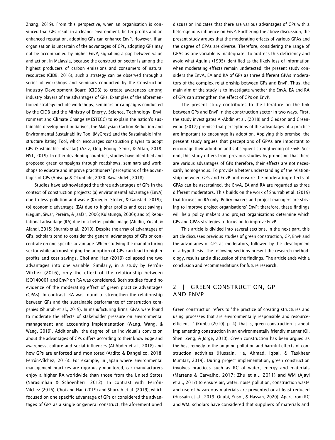Zhang, 2019). From this perspective, when an organisation is convinced that GPs result in a cleaner environment, better profits and an enhanced reputation, adopting GPs can enhance EnvP. However, if an organisation is uncertain of the advantages of GPs, adopting GPs may not be accompanied by higher EnvP, signalling a gap between value and action. In Malaysia, because the construction sector is among the highest producers of carbon emissions and consumers of natural resources (CIDB, 2016), such a strategy can be observed through a series of workshops and seminars conducted by the Construction Industry Development Board (CIDB) to create awareness among industry players of the advantages of GPs. Examples of the aforementioned strategy include workshops, seminars or campaigns conducted by the CIDB and the Ministry of Energy, Science, Technology, Environment and Climate Change (MESTECC) to explain the nation's sustainable development initiatives, the Malaysian Carbon Reduction and Environmental Sustainability Tool (MyCrest) and the Sustainable Infrastructure Rating Tool, which encourages construction players to adopt GPs (Sustainable Infrastar) (Aziz, Ong, Foong, Senik, & Attan, 2018; NST, 2019). In other developing countries, studies have identified and proposed green campaigns through roadshows, seminars and workshops to educate and improve practitioners' perceptions of the advantages of GPs (Abisuga & Okuntade, 2020; Rawashdeh, 2018).

Studies have acknowledged the three advantages of GPs in the context of construction projects: (a) environmental advantage (EnvA) due to less pollution and waste (Krueger, Stoker, & Gaustad, 2019); (b) economic advantage (EA) due to higher profits and cost savings (Begum, Siwar, Pereira, & Jaafar, 2006; Kulatunga, 2006); and (c) Reputational advantage (RA) due to a better public image (Abidin, Yusof, & Afandi, 2015; Shurrab et al., 2019). Despite the array of advantages of GPs, scholars tend to consider the general advantages of GPs or concentrate on one specific advantage. When studying the manufacturing sector while acknowledging the adoption of GPs can lead to higher profits and cost savings, Choi and Han (2019) collapsed the two advantages into one variable. Similarly, in a study by Ferrón-Vílchez (2016), only the effect of the relationship between ISO140001 and EnvP on RA was considered. Both studies found no evidence of the moderating effect of green practice advantages (GPAs). In contrast, RA was found to strengthen the relationship between GPs and the sustainable performance of construction companies (Shurrab et al., 2019). In manufacturing firms, GPAs were found to moderate the effects of stakeholder pressure on environmental management and accounting implementation (Wang, Wang, & Wang, 2019). Additionally, the degree of an individual's conviction about the advantages of GPs differs according to their knowledge and awareness, culture and social influences (Al-Abdin et al., 2018) and how GPs are enforced and monitored (Ardito & Dangelico, 2018; Ferrón-Vílchez, 2016). For example, in Japan where environmental management practices are rigorously monitored, car manufacturers enjoy a higher RA worldwide than those from the United States (Narasimhan & Schoenherr, 2012). In contrast with Ferrón-Vílchez (2016), Choi and Han (2019) and Shurrab et al. (2019), which focused on one specific advantage of GPs or considered the advantages of GPs as a single or general construct, the aforementioned

discussion indicates that there are various advantages of GPs with a heterogenous influence on EnvP. Furthering the above discussion, the present study argues that the moderating effects of various GPAs and the degree of GPAs are diverse. Therefore, considering the range of GPAs as one variable is inadequate. To address this deficiency and avoid what Aguinis (1995) identified as the likely loss of information when moderating effects remain undetected, the present study considers the EnvA, EA and RA of GPs as three different GPAs moderators of the complex relationship between GPs and EnvP. Thus, the main aim of the study is to investigate whether the EnvA, EA and RA of GPs can strengthen the effect of GPs on EnvP.

The present study contributes to the literature on the link between GPs and EnvP in the construction sector in two ways. First, the study investigates Al-Abdin et al. (2018) and Gledson and Greenwood (2017) premise that perceptions of the advantages of a practice are important to encourage its adoption. Applying this premise, the present study argues that perceptions of GPAs are important to encourage their adoption and subsequent strengthening of EnvP. Second, this study differs from previous studies by proposing that there are various advantages of GPs therefore, their effects are not necessarily homogenous. To provide a better understanding of the relationship between GPs and EnvP and ensure the moderating effects of GPAs can be ascertained, the EnvA, EA and RA are regarded as three different moderators. This builds on the work of Shurrab et al. (2019) that focuses on RA only. Policy makers and project managers are striving to improve project organisations' EnvP; therefore, these findings will help policy makers and project organisations determine which GPs and GPAs strategies to focus on to improve EnvP.

This article is divided into several sections. In the next part, this article discusses previous studies of green construction, GP, EnvP and the advantages of GPs as moderators, followed by the development of a hypothesis. The following sections present the research methodology, results and a discussion of the findings. The article ends with a conclusion and recommendations for future research.

# 2 | GREEN CONSTRUCTION, GP AND ENVP

Green construction refers to "the practice of creating structures and using processes that are environmentally responsible and resourceefficient…" (Kubba (2010), p. 4), that is, green construction is about implementing construction in an environmentally friendly manner (Qi, Shen, Zeng, & Jorge, 2010). Green construction has been argued as the best remedy to the ongoing pollution and harmful effects of construction activities (Hussain, He, Ahmad, Iqbal, & Taskheer Mumtaz, 2019). During project implementation, green construction involves practices such as RC of water, energy and materials (Martens & Carvalho, 2017; Zhu et al., 2011) and WM (Ajayi et al., 2017) to ensure air, water, noise pollution, construction waste and use of hazardous materials are prevented or at least reduced (Hussain et al., 2019; Onubi, Yusof, & Hassan, 2020). Apart from RC and WM, scholars have considered that suppliers of materials and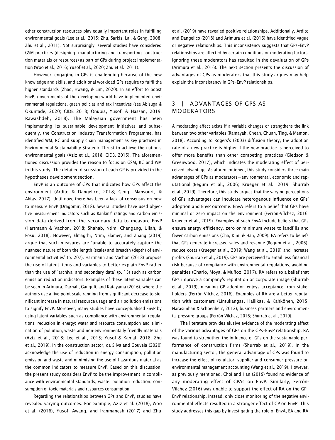other construction resources play equally important roles in fulfilling environmental goals (Lee et al., 2015; Zhu, Sarkis, Lai, & Geng, 2008; Zhu et al., 2011). Not surprisingly, several studies have considered GSM practices (designing, manufacturing and transporting construction materials or resources) as part of GPs during project implementation (Woo et al., 2016; Yusof et al., 2020; Zhu et al., 2011).

However, engaging in GPs is challenging because of the new knowledge and skills, and additional workload GPs require to fulfil the higher standards (Zhao, Hwang, & Lim, 2020). In an effort to boost EnvP, governments of the developing world have implemented environmental regulations, green policies and tax incentives (see Abisuga & Okuntade, 2020; CIDB 2018; Onubia, Yusof, & Hassan, 2019; Rawashdeh, 2018). The Malaysian government has been implementing its sustainable development initiatives and subsequently, the Construction Industry Transformation Programme, has identified WM, RC and supply chain management as key practices in Environmental Sustainability Strategic Thrust to achieve the nation's environmental goals (Aziz et al., 2018; CIDB, 2015). The aforementioned discussion provides the reason to focus on GSM, RC and WM in this study. The detailed discussion of each GP is provided in the hypotheses development section.

EnvP is an outcome of GPs that indicates how GPs affect the environment (Ardito & Dangelico, 2018; Geng, Mansouri, & Aktas, 2017). Until now, there has been a lack of consensus on how to measure EnvP (Dragomir, 2018). Several studies have used objective measurement indicators such as Rankins' ratings and carbon emission data derived from the secondary data to measure EnvP (Hartmann & Vachon, 2018; Shahab, Ntim, Chengang, Ullah, & Fosu, 2018). However, Elmagrhi, Ntim, Elamer, and Zhang (2019) argue that such measures are "unable to accurately capture the nuanced nature of both the length (scale) and breadth (depth) of environmental activities" (p. 207). Hartmann and Vachon (2018) propose the use of latent items and variables to better explain EnvP rather than the use of "archival and secondary data" (p. 13) such as carbon emission reduction indicators. Examples of these latent variables can be seen in Arimura, Darnall, Ganguli, and Katayama (2016), where the authors use a five-point scale ranging from significant decrease to significant increase in natural resource usage and air pollution emissions to signify EnvP. Moreover, many studies have conceptualised EnvP by using latent variables such as compliance with environmental regulations; reduction in energy; water and resource consumption and elimination of pollution, waste and non-environmentally friendly materials (Aziz et al., 2018; Lee et al., 2015; Yusof & Kamal, 2018; Zhu et al., 2019). In the construction sector, da Silva and Gouveia (2020) acknowledge the use of reduction in energy consumption, pollution emission and waste and minimising the use of hazardous material as the common indicators to measure EnvP. Based on this discussion, the present study considers EnvP to be the improvement in compliance with environmental standards, waste, pollution reduction, consumption of toxic materials and resources consumption.

Regarding the relationships between GPs and EnvP, studies have revealed varying outcomes. For example, Aziz et al. (2018), Woo et al. (2016), Yusof, Awang, and Iranmanesh (2017) and Zhu

et al. (2019) have revealed positive relationships. Additionally, Ardito and Dangelico (2018) and Arimura et al. (2016) have identified vague or negative relationships. This inconsistency suggests that GPs–EnvP relationships are affected by certain conditions or moderating factors. Ignoring these moderators has resulted in the devaluation of GPs (Arimura et al., 2016). The next section presents the discussion of advantages of GPs as moderators that this study argues may help explain the inconsistency in GPs–EnvP relationships.

# 3 | ADVANTAGES OF GPS AS MODERATORS

A moderating effect exists if a variable changes or strengthens the link between two other variables (Ramayah, Cheah, Chuah, Ting, & Memon, 2018). According to Rogers's (2003) diffusion theory, the adoption rate of a new practice is higher if the new practice is perceived to offer more benefits than other competing practices (Gledson & Greenwood, 2017), which indicates the moderating effect of perceived advantage. As aforementioned, this study considers three main advantages of GPs as moderators—environmental, economic and reputational (Begum et al., 2006; Krueger et al., 2019; Shurrab et al., 2019). Therefore, this study argues that the varying perceptions of GPs' advantages can inculcate heterogenous influence on GPs' adoption and EnvP outcome. EnvA refers to a belief that GPs have minimal or zero impact on the environment (Ferrón-Vílchez, 2016; Krueger et al., 2019). Examples of such EnvA include beliefs that GPs ensure energy efficiency, zero or minimum waste to landfills and fewer carbon emissions (Cha, Kim, & Han, 2009). EA refers to beliefs that GPs generate increased sales and revenue (Begum et al., 2006), reduce costs (Krueger et al., 2019; Wang et al., 2019) and increase profits (Shurrab et al., 2019). GPs are perceived to entail less financial risk because of compliance with environmental regulations, avoiding penalties (Charlo, Moya, & Muñoz, 2017). RA refers to a belief that GPs improve a company's reputation or corporate image (Shurrab et al., 2019), meaning GP adoption enjoys acceptance from stakeholders (Ferrón-Vílchez, 2016). Examples of RA are a better reputation with customers (Lintukangas, Hallikas, & Kähkönen, 2015; Narasimhan & Schoenherr, 2012), business partners and environmental pressure groups (Ferrón-Vílchez, 2016; Shurrab et al., 2019).

The literature provides elusive evidence of the moderating effect of the various advantages of GPs on the GPs–EnvP relationship. RA was found to strengthen the influence of GPs on the sustainable performance of construction firms (Shurrab et al., 2019). In the manufacturing sector, the general advantage of GPs was found to increase the effect of regulator, supplier and consumer pressure on environmental management accounting (Wang et al., 2019). However, as previously mentioned, Choi and Han (2019) found no evidence of any moderating effect of GPAs on EnvP. Similarly, Ferrón-Vílchez (2016) was unable to support the effect of RA on the GP– EnvP relationship. Instead, only close monitoring of the negative environmental effects resulted in a stronger effect of GP on EnvP. This study addresses this gap by investigating the role of EnvA, EA and RA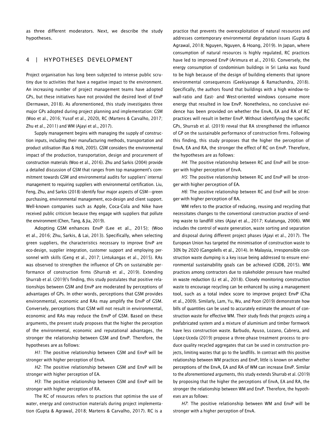as three different moderators. Next, we describe the study hypotheses.

## 4 | HYPOTHESES DEVELOPMENT

Project organisation has long been subjected to intense public scrutiny due to activities that have a negative impact to the environment. An increasing number of project management teams have adopted GPs, but these initiatives have not provided the desired level of EnvP (Dermawan, 2018). As aforementioned, this study investigates three major GPs adopted during project planning and implementation: GSM (Woo et al., 2016; Yusof et al., 2020), RC (Martens & Carvalho, 2017; Zhu et al., 2011) and WM (Ajayi et al., 2017).

Supply management begins with managing the supply of construction inputs, including their manufacturing methods, transportation and product utilisation (Rao & Holt, 2005). GSM considers the environmental impact of the production, transportation, design and procurement of construction materials (Woo et al., 2016). Zhu and Sarkis (2004) provide a detailed discussion of GSM that ranges from top management's commitment towards GSM and environmental audits for suppliers' internal management to requiring suppliers with environmental certification. Liu, Feng, Zhu, and Sarkis (2018) identify four major aspects of GSM—green purchasing, environmental management, eco-design and client support. Well-known companies such as Apple, Coca-Cola and Nike have received public criticism because they engage with suppliers that pollute the environment (Chen, Tang, & Jia, 2019).

Adopting GSM enhances EnvP (Lee et al., 2015); (Woo et al., 2016; Zhu, Sarkis, & Lai, 2013). Specifically, when selecting green suppliers, the characteristics necessary to improve EnvP are eco-design, supplier integration, customer support and employing personnel with skills (Geng et al., 2017; Lintukangas et al., 2015). RAs was observed to strengthen the influence of GPs on sustainable performance of construction firms (Shurrab et al., 2019). Extending Shurrab et al. (2019)'s finding, this study postulates that positive relationships between GSM and EnvP are moderated by perceptions of advantages of GPs. In other words, perceptions that GSM provides environmental, economic and RAs may amplify the EnvP of GSM. Conversely, perceptions that GSM will not result in environmental, economic and RAs may reduce the EnvP of GSM. Based on these arguments, the present study proposes that the higher the perception of the environmental, economic and reputational advantages, the stronger the relationship between GSM and EnvP. Therefore, the hypotheses are as follows:

*H1*: The positive relationship between GSM and EnvP will be stronger with higher perception of EnvA.

*H2*: The positive relationship between GSM and EnvP will be stronger with higher perception of EA.

*H3*: The positive relationship between GSM and EnvP will be stronger with higher perception of RA.

The RC of resources refers to practices that optimise the use of water, energy and construction materials during project implementation (Gupta & Agrawal, 2018; Martens & Carvalho, 2017). RC is a practice that prevents the overexploitation of natural resources and addresses contemporary environmental degradation issues (Gupta & Agrawal, 2018; Nguyen, Nguyen, & Hoang, 2019). In Japan, where consumption of natural resources is highly regulated, RC practices have led to improved EnvP (Arimura et al., 2016). Conversely, the energy consumption of condominium buildings in Sri Lanka was found to be high because of the design of building elements that ignore environmental consequences (Geekiyanage & Ramachandra, 2018). Specifically, the authors found that buildings with a high window-towall-ratio and East- and West-oriented windows consume more energy that resulted in low EnvP. Nonetheless, no conclusive evidence has been provided on whether the EnvA, EA and RA of RC practices will result in better EnvP. Without identifying the specific GPs, Shurrab et al. (2019) reveal that RA strengthened the influence of GP on the sustainable performance of construction firms. Following this finding, this study proposes that the higher the perception of EnvA, EA and RA, the stronger the effect of RC on EnvP. Therefore, the hypotheses are as follows:

*H4*: The positive relationship between RC and EnvP will be stronger with higher perception of EnvA.

*H5*: The positive relationship between RC and EnvP will be stronger with higher perception of EA.

*H6*: The positive relationship between RC and EnvP will be stronger with higher perception of RA.

WM refers to the practice of reducing, reusing and recycling that necessitates changes to the conventional construction practice of sending waste to landfill sites (Ajayi et al., 2017; Kulatunga, 2006). WM includes the control of waste generation, waste sorting and separation and disposal during different project phases (Ajayi et al., 2017). The European Union has targeted the minimisation of construction waste to 30% by 2020 (Gangolells et al., 2014). In Malaysia, irresponsible construction waste dumping is a key issue being addressed to ensure environmental sustainability goals can be achieved (CIDB, 2015). WM practices among contractors due to stakeholder pressure have resulted in waste reduction (Li et al., 2018). Closely monitoring construction waste to encourage recycling can be enhanced by using a management tool, such as a total index score to improve project EnvP (Cha et al., 2009). Similarly, Lam, Yu, Wu, and Poon (2019) demonstrate how bills of quantities can be used to accurately estimate the amount of construction waste for effective WM. Their study finds that projects using a prefabricated system and a mixture of aluminium and timber formwork have less construction waste. Barbudo, Ayuso, Lozano, Cabrera, and López-Uceda (2019) propose a three-phase treatment process to produce quality recycled aggregates that can be used in construction projects, limiting wastes that go to the landfills. In contrast with this positive relationship between WM practices and EnvP, little is known on whether perceptions of the EnvA, EA and RA of WM can increase EnvP. Similar to the aforementioned arguments, this study extends Shurrab et al. (2019) by proposing that the higher the perceptions of EnvA, EA and RA, the stronger the relationship between WM and EnvP. Therefore, the hypotheses are as follows:

*H7*: The positive relationship between WM and EnvP will be stronger with a higher perception of EnvA.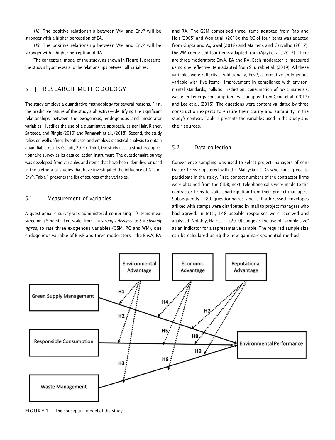*H8*: The positive relationship between WM and EnvP will be stronger with a higher perception of EA.

*H9*: The positive relationship between WM and EnvP will be stronger with a higher perception of RA.

The conceptual model of the study, as shown in Figure 1, presents the study's hypotheses and the relationships between all variables.

# 5 | RESEARCH METHODOLOGY

The study employs a quantitative methodology for several reasons. First, the predictive nature of the study's objective—identifying the significant relationships between the exogenous, endogenous and moderator variables—justifies the use of a quantitative approach, as per Hair, Risher, Sarstedt, and Ringle (2019) and Ramayah et al., (2018). Second, the study relies on well-defined hypotheses and employs statistical analysis to obtain quantifiable results (Schutt, 2019). Third, the study uses a structured questionnaire survey as its data collection instrument. The questionnaire survey was developed from variables and items that have been identified or used in the plethora of studies that have investigated the influence of GPs on EnvP. Table 1 presents the list of sources of the variables.

## 5.1 | Measurement of variables

A questionnaire survey was administered comprising 19 items measured on a 5-point Likert scale, from 1 = *strongly disagree* to 5 = *strongly agree*, to rate three exogenous variables (GSM, RC and WM), one endogenous variable of EnvP and three moderators—the EnvA, EA

and RA. The GSM comprised three items adapted from Rao and Holt (2005) and Woo et al. (2016); the RC of four items was adapted from Gupta and Agrawal (2018) and Martens and Carvalho (2017); the WM comprised four items adapted from (Ajayi et al., 2017). There are three moderators; EnvA, EA and RA. Each moderator is measured using one reflective item adapted from Shurrab et al. (2019). All these variables were reflective. Additionally, EnvP, a formative endogenous variable with five items—improvement in compliance with environmental standards, pollution reduction, consumption of toxic materials, waste and energy consumption—was adapted from Geng et al. (2017) and Lee et al. (2015). The questions were content validated by three construction experts to ensure their clarity and suitability in the study's context. Table 1 presents the variables used in the study and their sources.

#### 5.2 | Data collection

Convenience sampling was used to select project managers of contractor firms registered with the Malaysian CIDB who had agreed to participate in the study. First, contact numbers of the contractor firms were obtained from the CIDB; next, telephone calls were made to the contractor firms to solicit participation from their project managers. Subsequently, 280 questionnaires and self-addressed envelopes affixed with stamps were distributed by mail to project managers who had agreed. In total, 148 useable responses were received and analysed. Notably, Hair et al. (2019) suggests the use of "sample size" as an indicator for a representative sample. The required sample size can be calculated using the new gamma-exponential method



FIGURE 1 The conceptual model of the study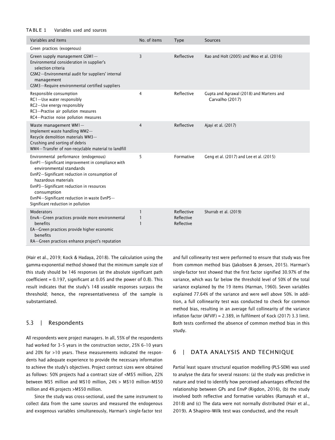#### TA BL E 1 Variables used and sources

| Variables and items                                                                                                                                                                                                                                                                                                                           | No. of items | <b>Type</b>                            | Sources                                                     |
|-----------------------------------------------------------------------------------------------------------------------------------------------------------------------------------------------------------------------------------------------------------------------------------------------------------------------------------------------|--------------|----------------------------------------|-------------------------------------------------------------|
| Green practices (exogenous)                                                                                                                                                                                                                                                                                                                   |              |                                        |                                                             |
| Green supply management GSM1-<br>Environmental consideration in supplier's<br>selection criteria<br>GSM2-Environmental audit for suppliers' internal<br>management<br>GSM3-Require environmental certified suppliers                                                                                                                          | 3            | Reflective                             | Rao and Holt (2005) and Woo et al. (2016)                   |
| Responsible consumption<br>RC1-Use water responsibly<br>RC2-Use energy responsibly<br>RC3-Practise air pollution measures<br>RC4-Practise noise pollution measures                                                                                                                                                                            | 4            | Reflective                             | Gupta and Agrawal (2018) and Martens and<br>Carvalho (2017) |
| Waste management WM1-<br>Implement waste handling WM2-<br>Recycle demolition materials WM3-<br>Crushing and sorting of debris<br>WM4-Transfer of non-recyclable material to landfill                                                                                                                                                          | 4            | Reflective                             | Ajayi et al. (2017)                                         |
| Environmental performance (endogenous)<br>EvnP1-Significant improvement in compliance with<br>environmental standards<br>EvnP2-Significant reduction in consumption of<br>hazardous materials<br>EvnP3-Significant reduction in resources<br>consumption<br>EvnP4-Significant reduction in waste EvnP5-<br>Significant reduction in pollution | 5            | Formative                              | Geng et al. (2017) and Lee et al. (2015)                    |
| <b>Moderators</b><br>EnvA-Green practices provide more environmental<br>benefits<br>EA-Green practices provide higher economic<br>benefits<br>RA-Green practices enhance project's reputation                                                                                                                                                 | 1            | Reflective<br>Reflective<br>Reflective | Shurrab et al. (2019)                                       |

(Hair et al., 2019; Kock & Hadaya, 2018). The calculation using the gamma-exponential method showed that the minimum sample size of this study should be 146 responses (at the absolute significant path coefficient = 0.197, significant at 0.05 and the power of 0.8). This result indicates that the study's 148 useable responses surpass the threshold; hence, the representativeness of the sample is substantiated.

## 5.3 | Respondents

All respondents were project managers. In all, 55% of the respondents had worked for 3–5 years in the construction sector, 25% 6–10 years and 20% for >10 years. These measurements indicated the respondents had adequate experience to provide the necessary information to achieve the study's objectives. Project contract sizes were obtained as follows: 50% projects had a contract size of <M\$5 million, 22% between M\$5 million and M\$10 million, 24% > M\$10 million–M\$50 million and 4% projects >M\$50 million.

Since the study was cross-sectional, used the same instrument to collect data from the same sources and measured the endogenous and exogenous variables simultaneously, Harman's single-factor test and full collinearity test were performed to ensure that study was free from common method bias (Jakobsen & Jensen, 2015). Harman's single-factor test showed that the first factor signified 30.97% of the variance, which was far below the threshold level of 50% of the total variance explained by the 19 items (Harman, 1960). Seven variables explained 77.64% of the variance and were well above 50%. In addition, a full collinearity test was conducted to check for common method bias, resulting in an average full collinearity of the variance inflation factor (AFVIF) = 2.389, in fulfilment of Kock (2017) 3.3 limit. Both tests confirmed the absence of common method bias in this study.

# 6 | DATA ANALYSIS AND TECHNIQUE

Partial least square structural equation modelling (PLS-SEM) was used to analyse the data for several reasons: (a) the study was predictive in nature and tried to identify how perceived advantages effected the relationship between GPs and EnvP (Rigdon, 2016), (b) the study involved both reflective and formative variables (Ramayah et al., 2018) and (c) The data were not normally distributed (Hair et al., 2019). A Shapiro–Wilk test was conducted, and the result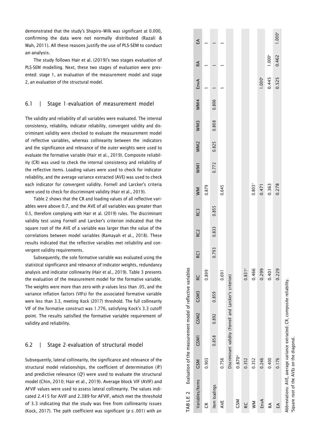demonstrated that the study's Shapiro –Wilk was significant at 0.000, confirming the data were not normally distributed (Razali & Wah, 2011). All these reasons justify the use of PLS -SEM to conduct an analysis.

The study follows Hair et al. (2019)'s two stages evaluation of PLS -SEM modelling. Next, these two stages of evaluation were pres ented: stage 1, an evaluation of the measurement model and stage 2, an evaluation of the structural model.

## 6.1 | Stage 1 –evaluation of measurement model

The validity and reliability of all variables were evaluated. The internal consistency, reliability, indicator reliability, convergent validity and dis criminant validity were checked to evaluate the measurement model of reflective variables, whereas collinearity between the indicators and the significance and relevance of the outer weights were used to evaluate the formative variable (Hair et al., 2019). Composite reliabil ity (CR) was used to check the internal consistency and reliability of the reflective items. Loading values were used to check for indicator reliability, and the average variance extracted (AVE) was used to check each indicator for convergent validity. Fornell and Larcker's criteria were used to check for discriminant validit y (Hair et al., 2019).

Table 2 shows that the CR and loading values of all reflective vari ables were above 0.7, and the AVE of all variables was greater than 0.5, therefore complying with Hair et al. (2019) rules. The discriminant validity test using Fornell and Larcker's criterion indicated that the square root of the AVE of a variable was larger than the value of the correlations between model variables (Ramayah et al., 2018). These results indicated that the reflective variables met reliability and con vergent validity requirements.

Subsequently, the sole formative variable was evaluated using the statistical significance and relevance of indicator weights, redundancy analysis and indicator collinearity (Hair et al., 2019). Table 3 presents the evaluation of the measurement model for the formative variable. The weights were more than zero with *p* values less than .05, and the variance inflation factors (VIFs) for the associated formative variable were less than 3.3, meeting Kock (2017) threshold. The full collinearity VIF of the formative construct was 1.776, satisfying Kock's 3.3 cutoff point. The results satisfied the formative variable requirement of validity and reliability.

## 6.2 | Stage 2 –evaluation of structural model

Subsequently, lateral collinearity, the significance and relevance of the structural model relationships, the coefficient of determination ( *R* 2 ) and predictive relevance ( $Q^{\!\scriptscriptstyle 2}$ ) were used to evaluate the structural model (Chin, 2010; Hair et al., 2019). Average block VIF (AVIF) and AFVIF values were used to assess lateral collinearity. The values indi cated 2.415 for AVIF and 2.389 for AFVIF, which met the threshold of 3.3 indicating that the study was free from collinearity issues (Kock, 2017). The path coefficient was significant ( *p* ≤ .001) with an

| TABLE 2 Evaluation of the measurement model of reflective variables        |                      |             |       |                                                         |                      |                 |                 |       |                    |       |                 |       |       |             |             |                    |
|----------------------------------------------------------------------------|----------------------|-------------|-------|---------------------------------------------------------|----------------------|-----------------|-----------------|-------|--------------------|-------|-----------------|-------|-------|-------------|-------------|--------------------|
| Variables/Items                                                            | <b>GSM</b>           | <b>CSM1</b> | GSM2  | GSM3                                                    | ల్ల                  | RC <sub>1</sub> | RC <sub>2</sub> | RC3   | MM                 | WM1   | WM <sub>2</sub> | WM3   | WM4   | EnvA        | RA          | ₫                  |
| ű                                                                          | 0.903                |             |       |                                                         | 899                  |                 |                 |       | 0.879              |       |                 |       |       |             |             |                    |
| Item loadings                                                              |                      | 0.858       | 0.892 | 0.859                                                   |                      | 0.793           | 0.833           | 0.855 |                    | 0.772 | 0.825           | 0.808 | 0.806 |             |             |                    |
| AVE                                                                        | 0.756                |             |       |                                                         | <b>[69]</b>          |                 |                 |       | 0.645              |       |                 |       |       |             |             |                    |
|                                                                            |                      |             |       | Discriminant validity (Fornell and Larcker's criterion) |                      |                 |                 |       |                    |       |                 |       |       |             |             |                    |
| <b>CSM</b>                                                                 | $0.870$ <sup>a</sup> |             |       |                                                         |                      |                 |                 |       |                    |       |                 |       |       |             |             |                    |
| RC<br>K                                                                    | 0.352                |             |       |                                                         | $0.831$ <sup>a</sup> |                 |                 |       |                    |       |                 |       |       |             |             |                    |
| $\geq$                                                                     | 0.352                |             |       |                                                         | .466                 |                 |                 |       | $0.803^{a}$        |       |                 |       |       |             |             |                    |
| EnvA                                                                       | 0.246                |             |       |                                                         | .299                 |                 |                 |       |                    |       |                 |       |       | $1.000^{a}$ |             |                    |
| RA                                                                         | 0.400                |             |       |                                                         | <b>401</b>           |                 |                 |       | $0.471$<br>$0.363$ |       |                 |       |       | 0.445       | $1.000^{a}$ |                    |
| Ę                                                                          | 0.176                |             |       |                                                         | .229                 |                 |                 |       | 0.278              |       |                 |       |       | 0.525       | 0.462       | 1.000 <sup>a</sup> |
| Abbreviations: AVE. average variance extracted: CR. composite reliability. |                      |             |       |                                                         |                      |                 |                 |       |                    |       |                 |       |       |             |             |                    |

Abbreviations: AVE, average variance extracted; CR, composite reliability.  $^{\rm s}$ quare root of the AVEs on the diagonal. Square root of the AVEs on the diagonal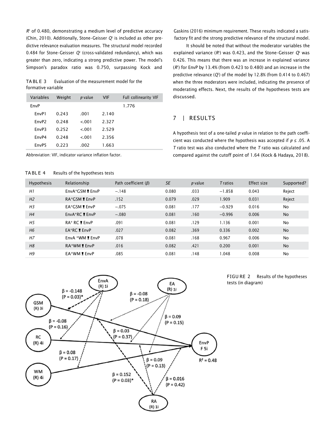*R* <sup>2</sup> of 0.480, demonstrating a medium level of predictive accuracy (Chin, 2010). Additionally, Stone–Geisser *Q*<sup>2</sup> is included as other predictive relevance evaluation measures. The structural model recorded 0.484 for Stone–Geisser *Q*<sup>2</sup> (cross-validated redundancy), which was greater than zero, indicating a strong predictive power. The model's Simpson's paradox ratio was 0.750, surpassing Kock and

TA BL E 3 Evaluation of the measurement model for the formative variable

| Variables          | Weight | p value | <b>VIF</b> | <b>Full collinearity VIF</b> |
|--------------------|--------|---------|------------|------------------------------|
| EnvP               |        |         |            | 1.776                        |
| FnvP1              | 0.243  | .001    | 2.140      |                              |
| FnvP <sub>2</sub>  | 0.248  | < 0.01  | 2.327      |                              |
| FnvP3              | 0.252  | < 0.01  | 2.529      |                              |
| Fn <sub>v</sub> P4 | 0.248  | < 0.01  | 2.356      |                              |
| FnvP5              | 0.223  | .002    | 1.663      |                              |

Abbreviation: VIF, indicator variance inflation factor.

#### TA BL E 4 Results of the hypotheses tests

Gaskins (2016) minimum requirement. These results indicated a satisfactory fit and the strong predictive relevance of the structural model.

It should be noted that without the moderator variables the explained variance  $(R^2)$  was 0.423, and the Stone–Geisser  $Q^2$  was 0.426. This means that there was an increase in explained variance (*R* 2 ) for EnvP by 13.4% (from 0.423 to 0.480) and an increase in the predictive relevance (*Q*<sup>2</sup> ) of the model by 12.8% (from 0.414 to 0.467) when the three moderators were included, indicating the presence of moderating effects. Next, the results of the hypotheses tests are discussed.

# 7 | RESULTS

A hypothesis test of a one-tailed *p* value in relation to the path coefficient was conducted where the hypothesis was accepted if *p* ≤ .05. A *T* ratio test was also conducted where the *T* ratio was calculated and compared against the cutoff point of 1.64 (Kock & Hadaya, 2018).

| <b>Hypothesis</b> | Relationship          | Path coefficient $(\beta)$ | <b>SE</b> | p value | <b>Tratios</b> | Effect size | Supported? |
|-------------------|-----------------------|----------------------------|-----------|---------|----------------|-------------|------------|
| H1                | EnvA*GSM ■ EnvP       | $-.148$                    | 0.080     | .033    | $-1.858$       | 0.043       | Reject     |
| H <sub>2</sub>    | RA*GSM <b>E</b> EnvP  | .152                       | 0.079     | .029    | 1.909          | 0.031       | Reject     |
| H <sub>3</sub>    | EA*GSM <b>E</b> EnvP  | $-.075$                    | 0.081     | .177    | $-0.929$       | 0.016       | <b>No</b>  |
| H <sub>4</sub>    | EnvA*RC <b>L</b> EnvP | $-.080$                    | 0.081     | .160    | $-0.996$       | 0.006       | <b>No</b>  |
| H <sub>5</sub>    | <b>RA* RC ■ EnvP</b>  | .091                       | 0.081     | .129    | 1.136          | 0.001       | <b>No</b>  |
| H6                | <b>EA*RC</b> ■ EnvP   | .027                       | 0.082     | .369    | 0.336          | 0.002       | <b>No</b>  |
| H <sub>7</sub>    | EnvA *WM EnvP         | .078                       | 0.081     | .168    | 0.967          | 0.006       | <b>No</b>  |
| H8                | <b>RA*WM</b> ■ EnvP   | .016                       | 0.082     | .421    | 0.200          | 0.001       | <b>No</b>  |
| H <sub>9</sub>    | EA*WM <b>E</b> EnvP   | .085                       | 0.081     | .148    | 1.048          | 0.008       | <b>No</b>  |
|                   |                       |                            |           |         |                |             |            |



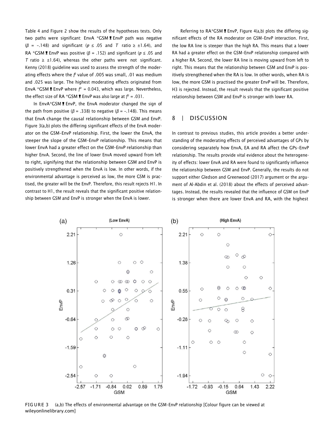Table 4 and Figure 2 show the results of the hypotheses tests. Only two paths were significant: EnvA \*GSM I EnvP path was negative (*β* = −.148) and significant (*p* ≤ .05 and *T* ratio ≥ ±1.64), and RA \*GSM!EnvP was positive (*<sup>β</sup>* <sup>=</sup> .152) and significant (*<sup>p</sup>* <sup>≤</sup> .05 and *T* ratio  $\geq \pm 1.64$ ), whereas the other paths were not significant. Kenny (2018) guideline was used to assess the strength of the moderating effects where the  $f$  value of .005 was small, .01 was medium and .025 was large. The highest moderating effects originated from<br>EnvA \*GSM **!** EnvP where  $f^2 = 0.043$ , which was large. Nevertheless, EnvA \*GSM **!** EnvP where  $f^2 = 0.043$ , which was large. Nevertheless, the effect size of RA \*GSM **!** EnvP was also large at  $f^2 = .031$ . the effect size of RA \*GSM **E** EnvP was also large at  $f^2 = .031$ .

In EnvA\*GSM I EnvP, the EnvA moderator changed the sign of the path from positive (*β* = .338) to negative (*β* = −.148). This means that EnvA change the causal relationship between GSM and EnvP. Figure 3(a,b) plots the differing significant effects of the EnvA moderator on the GSM–EnvP relationship. First, the lower the EnvA, the steeper the slope of the GSM–EnvP relationship. This means that lower EnvA had a greater effect on the GSM–EnvP relationship than higher EnvA. Second, the line of lower EnvA moved upward from left to right, signifying that the relationship between GSM and EnvP is positively strengthened when the EnvA is low. In other words, if the environmental advantage is perceived as low, the more GSM is practised, the greater will be the EnvP. Therefore, this result rejects H1. In contrast to H1, the result reveals that the significant positive relationship between GSM and EnvP is stronger when the EnvA is lower.

Referring to  $RA*GSM$  **!** EnvP. Figure 4(a,b) plots the differing significant effects of the RA moderator on GSM–EnvP interaction. First, the low RA line is steeper than the high RA. This means that a lower RA had a greater effect on the GSM–EnvP relationship compared with a higher RA. Second, the lower RA line is moving upward from left to right. This means that the relationship between GSM and EnvP is positively strengthened when the RA is low. In other words, when RA is low, the more GSM is practised the greater EnvP will be. Therefore, H3 is rejected. Instead, the result reveals that the significant positive relationship between GSM and EnvP is stronger with lower RA.

# 8 | DISCUSSION

In contrast to previous studies, this article provides a better understanding of the moderating effects of perceived advantages of GPs by considering separately how EnvA, EA and RA affect the GPs–EnvP relationship. The results provide vital evidence about the heterogeneity of effects: lower EnvA and RA were found to significantly influence the relationship between GSM and EnvP. Generally, the results do not support either Gledson and Greenwood (2017) argument or the argument of Al-Abdin et al. (2018) about the effects of perceived advantages. Instead, the results revealed that the influence of GSM on EnvP is stronger when there are lower EnvA and RA, with the highest



FIG URE 3 (a,b) The effects of environmental advantage on the GSM-EnvP relationship [Colour figure can be viewed at [wileyonlinelibrary.com\]](http://wileyonlinelibrary.com/)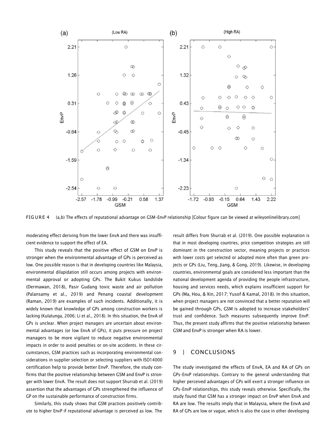

FIG URE 4 (a,b) The effects of reputational advantage on GSM-EnvP relationship [Colour figure can be viewed at [wileyonlinelibrary.com\]](http://wileyonlinelibrary.com/)

moderating effect deriving from the lower EnvA and there was insufficient evidence to support the effect of EA.

This study reveals that the positive effect of GSM on EnvP is stronger when the environmental advantage of GPs is perceived as low. One possible reason is that in developing countries like Malaysia, environmental dilapidation still occurs among projects with environmental approval or adopting GPs. The Bukit Kukus landslide (Dermawan, 2018), Pasir Gudang toxic waste and air pollution (Palansamy et al., 2019) and Penang coastal development (Raman, 2019) are examples of such incidents. Additionally, it is widely known that knowledge of GPs among construction workers is lacking (Kulatunga, 2006; Li et al., 2018). In this situation, the EnvA of GPs is unclear. When project managers are uncertain about environmental advantages (or low EnvA of GPs), it puts pressure on project managers to be more vigilant to reduce negative environmental impacts in order to avoid penalties or on-site accidents. In these circumstances, GSM practices such as incorporating environmental considerations in supplier selection or selecting suppliers with ISO14000 certification help to provide better EnvP. Therefore, the study confirms that the positive relationship between GSM and EnvP is stronger with lower EnvA. The result does not support Shurrab et al. (2019) assertion that the advantages of GPs strengthened the influence of GP on the sustainable performance of construction firms.

Similarly, this study shows that GSM practices positively contribute to higher EnvP if reputational advantage is perceived as low. The

result differs from Shurrab et al. (2019). One possible explanation is that in most developing countries, price competition strategies are still dominant in the construction sector, meaning projects or practices with lower costs get selected or adopted more often than green projects or GPs (Liu, Teng, Jiang, & Gong, 2019). Likewise, in developing countries, environmental goals are considered less important than the national development agenda of providing the people infrastructure, housing and services needs, which explains insufficient support for GPs (Ma, Hou, & Xin, 2017; Yusof & Kamal, 2018). In this situation, when project managers are not convinced that a better reputation will be gained through GPs, GSM is adopted to increase stakeholders' trust and confidence. Such measures subsequently improve EnvP. Thus, the present study affirms that the positive relationship between GSM and EnvP is stronger when RA is lower.

# 9 | CONCLUSIONS

The study investigated the effects of EnvA, EA and RA of GPs on GPs–EnvP relationships. Contrary to the general understanding that higher perceived advantages of GPs will exert a stronger influence on GPs–EnvP relationships, this study reveals otherwise. Specifically, the study found that GSM has a stronger impact on EnvP when EnvA and RA are low. The results imply that in Malaysia, where the EnvA and RA of GPs are low or vague, which is also the case in other developing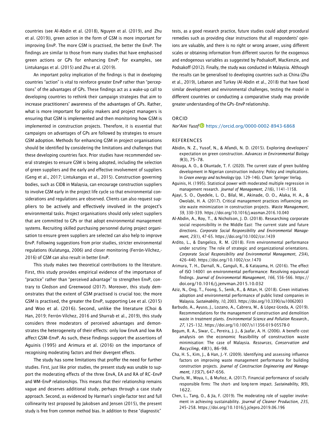countries (see Al-Abdin et al. (2018), Nguyen et al. (2019), and Zhu et al. (2019)), green action in the form of GSM is more important for improving EnvP. The more GSM is practised, the better the EnvP. The findings are similar to those from many studies that have emphasised green actions or GPs for enhancing EnvP; for examples, see Lintukangas et al. (2015) and Zhu et al. (2019).

An important policy implication of the findings is that in developing countries "action" is vital to reinforce greater EnvP rather than "perceptions" of the advantages of GPs. These findings act as a wake-up call to developing countries to rethink their campaign strategies that aim to increase practitioners' awareness of the advantages of GPs. Rather, what is more important for policy makers and project managers is ensuring that GSM is implemented and then monitoring how GSM is implemented in construction projects. Therefore, it is essential that campaigns on advantages of GPs are followed by strategies to ensure GSM adoption. Methods for enhancing GSM in project organisations should be identified by considering the limitations and challenges that these developing countries face. Prior studies have recommended several strategies to ensure GSM is being adopted, including the selection of green suppliers and the early and effective involvement of suppliers (Geng et al., 2017; Lintukangas et al., 2015). Construction governing bodies, such as CIDB in Malaysia, can encourage construction suppliers to involve GSM early in the project life cycle so that environmental considerations and regulations are observed. Clients can also request suppliers to be actively and effectively involved in the project's environmental tasks. Project organisations should only select suppliers that are committed to GPs or that adopt environmental management systems. Recruiting skilled purchasing personnel during project organisation to ensure green suppliers are selected can also help to improve EnvP. Following suggestions from prior studies, stricter environmental regulations (Kulatunga, 2006) and closer monitoring (Ferrón-Vílchez,- 2016) of GSM can also result in better EnvP.

This study makes two theoretical contributions to the literature. First, this study provides empirical evidence of the importance of "practice" rather than "perceived advantage" to strengthen EnvP, contrary to Gledson and Greenwood (2017). Moreover, this study demonstrates that the extent of GSM practised is crucial too; the more GSM is practised, the greater the EnvP, supporting Lee et al. (2015) and Woo et al. (2016). Second, unlike the literature (Choi & Han, 2019; Ferrón-Vílchez, 2016 and Shurrab et al., 2019), this study considers three moderators of perceived advantages and demonstrates the heterogeneity of their effects: only low EnvA and low RA affect GSM–EnvP. As such, these findings support the assertions of Aguinis (1995) and Arimura et al. (2016) on the importance of recognising moderating factors and their divergent effects.

The study has some limitations that proffer the need for further studies. First, just like prior studies, the present study was unable to support the moderating effects of the three EnvA, EA and RA of RC–EnvP and WM–EnvP relationships. This means that their relationship remains vague and deserves additional study, perhaps through a case study approach. Second, as evidenced by Harman's single-factor test and full collinearity test proposed by Jakobsen and Jensen (2015), the present study is free from common method bias. In addition to these "diagnostic"

tests, as a good research practice, future studies could adopt procedural remedies such as providing clear instructions that all respondents' opinions are valuable, and there is no right or wrong answer, using different scales or obtaining information from different sources for the exogenous and endogenous variables as suggested by Podsakoff, MacKenzie, and Podsakoff (2012). Finally, the study was conducted in Malaysia. Although the results can be generalised to developing countries such as China (Zhu et al., 2019), Lebanon and Turkey (Al-Abdin et al., 2018) that have faced similar development and environmental challenges, testing the model in different countries or conducting a comparative study may provide greater understanding of the GPs–EnvP relationship.

## ORCID

*Nor'Aini Yusof* <https://orcid.org/0000-0002-8943-6868>

#### REFERENCES

- Abidin, N. Z., Yusof, N., & Afandi, N. D. (2015). Exploring developers' expectation on green construction. *Advances in Environmental Biology 9*(3), 75–78.
- Abisuga, A. O., & Okuntade, T. F. (2020). The current state of green building development in Nigerian construction industry: Policy and implications. In *Green energy and technology* (pp. 129–146). Cham: Springer Verlag.
- Aguinis, H. (1995). Statistical power with moderated multiple regression in management research. *Journal of Management*, *21*(6), 1141–1158.
- Ajayi, S. O., Oyedele, L. O., Bilal, M., Akinade, O. O., Alaka, H. A., & Owolabi, H. A. (2017). Critical management practices influencing onsite waste minimization in construction projects. *Waste Management*, *59*, 330–339. <https://doi.org/10.1016/j.wasman.2016.10.040>
- Al-Abdin, A., Roy, T., & Nicholson, J. D. (2018). Researching corporate social responsibility in the Middle East: The current state and future directions. *Corporate Social Responsibility and Environmental Management*, *25*(1), 47–65. <https://doi.org/10.1002/csr.1439>
- Ardito, L., & Dangelico, R. M. (2018). Firm environmental performance under scrutiny: The role of strategic and organizational orientations. *Corporate Social Responsibility and Environmental Management*, *25*(4), 426–440. <https://doi.org/10.1002/csr.1470>
- Arimura, T. H., Darnall, N., Ganguli, R., & Katayama, H. (2016). The effect of ISO 14001 on environmental performance: Resolving equivocal findings. *Journal of Environmental Management*, *166*, 556–566. [https://](https://doi.org/10.1016/j.jenvman.2015.10.032) [doi.org/10.1016/j.jenvman.2015.10.032](https://doi.org/10.1016/j.jenvman.2015.10.032)
- Aziz, N., Ong, T., Foong, S., Senik, R., & Attan, H. (2018). Green initiatives adoption and environmental performance of public listed companies in Malaysia. *Sustainability*, *10*, 2003. <https://doi.org/10.3390/su10062003>
- Barbudo, A., Ayuso, J., Lozano, A., Cabrera, M., & López-Uceda, A. (2019). Recommendations for the management of construction and demolition waste in treatment plants. *Environmental Science and Pollution Research.*, *27*, 125–132. <https://doi.org/10.1007/s11356-019-05578-0>
- Begum, R. A., Siwar, C., Pereira, J. J., & Jaafar, A. H. (2006). A benefit–cost analysis on the economic feasibility of construction waste minimisation: The case of Malaysia. *Resources, Conservation and Recycling*, *48*(1), 86–98.
- Cha, H. S., Kim, J., & Han, J.-Y. (2009). Identifying and assessing influence factors on improving waste management performance for building construction projects. *Journal of Construction Engineering and Management*, *135*(7), 647–656.
- Charlo, M., Moya, I., & Muñoz, A. (2017). Financial performance of socially responsible firms: The short- and long-term impact. *Sustainability*, *9*(9), 1622.
- Chen, L., Tang, O., & Jia, F. (2019). The moderating role of supplier involvement in achieving sustainability. *Journal of Cleaner Production*, *235*, 245–258. <https://doi.org/10.1016/j.jclepro.2019.06.196>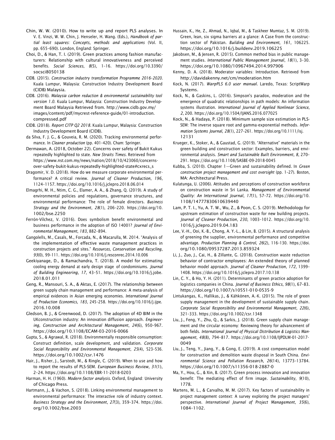- Chin, W. W. (2010). How to write up and report PLS analyses. In V. E. Vinzi, W. W. Chin, J. Henseler, H. Wang. (Eds.), *Handbook of partial least squares: Concepts, methods and applications* (Vol. II, pp. 655–690). London, England: Springer.
- Choi, D., & Han, T. I. (2019). Green practices among fashion manufacturers: Relationship with cultural innovativeness and perceived benefits. *Social Sciences*, *8*(5), 1–16. [https://doi.org/10.3390/](https://doi.org/10.3390/socsci8050138) [socsci8050138](https://doi.org/10.3390/socsci8050138)
- CIDB. (2015). *Construction industry transformation Programme 2016*–*2020*. Kuala Lumpur, Malaysia: Construction Industry Development Board (CIDB) Malaysia.
- CIDB. (2016). *Malaysia carbon reduction & environmental sustainability tool version 1.0*. Kuala Lumpur, Malaysia: Construction Industry Development Board Malaysia Retrieved from. [http://www.cidb.gov.my/](http://www.cidb.gov.my/images/content/pdf/mycrest-reference-guide/01-introduction.compressed.pdf) [images/content/pdf/mycrest-reference-guide/01-introduction.](http://www.cidb.gov.my/images/content/pdf/mycrest-reference-guide/01-introduction.compressed.pdf) [compressed.pdf](http://www.cidb.gov.my/images/content/pdf/mycrest-reference-guide/01-introduction.compressed.pdf)
- CIDB. (2018). *Report CITP Q2 2018*. Kuala Lumpur, Malaysia: Construction Industry Development Board (CIDB).
- da Silva, F. J. G., & Gouveia, R. M. (2020). Tracking environmental performance. In *Cleaner production* (pp. 401–420). Cham: Springer.
- Dermawan, A. (2018, October 22). Concerns over safety of Bukit Kukus repeatedly highlighted to state. *New Straits Times*. Retrieved from [https://www.nst.com.my/news/nation/2018/10/423060/concerns](https://www.nst.com.my/news/nation/2018/10/423060/concerns-over-safety-bukit-kukus-repeatedly-highlighted-state#cxrecs_s)[over-safety-bukit-kukus-repeatedly-highlighted-state#cxrecs\\_s](https://www.nst.com.my/news/nation/2018/10/423060/concerns-over-safety-bukit-kukus-repeatedly-highlighted-state#cxrecs_s)
- Dragomir, V. D. (2018). How do we measure corporate environmental performance? A critical review. *Journal of Cleaner Production*, *196*, 1124–1157. <https://doi.org/10.1016/j.jclepro.2018.06.014>
- Elmagrhi, M. H., Ntim, C. G., Elamer, A. A., & Zhang, Q. (2019). A study of environmental policies and regulations, governance structures, and environmental performance: The role of female directors. *Business Strategy and the Environment*, *28*(1), 206–220. [https://doi.org/10.](https://doi.org/10.1002/bse.2250) [1002/bse.2250](https://doi.org/10.1002/bse.2250)
- Ferrón-Vílchez, V. (2016). Does symbolism benefit environmental and business performance in the adoption of ISO 14001? *Journal of Environmental Management*, *183*, 882–894.
- Gangolells, M., Casals, M., Forcada, N., & Macarulla, M. 2014. "Analysis of the implementation of effective waste management practices in construction projects and sites." *Resources, Conservation and Recycling*, *93*(0), 99–111. <https://doi.org/10.1016/j.resconrec.2014.10.006>
- Geekiyanage, D., & Ramachandra, T. (2018). A model for estimating cooling energy demand at early design stage of condominiums. *Journal of Building Engineering*, *17*, 43–51. [https://doi.org/10.1016/j.jobe.](https://doi.org/10.1016/j.jobe.2018.01.011) [2018.01.011](https://doi.org/10.1016/j.jobe.2018.01.011)
- Geng, R., Mansouri, S. A., & Aktas, E. (2017). The relationship between green supply chain management and performance: A meta-analysis of empirical evidences in Asian emerging economies. *International Journal of Production Economics*, *183*, 245–258. [https://doi.org/10.1016/j.ijpe.](https://doi.org/10.1016/j.ijpe.2016.10.008) [2016.10.008](https://doi.org/10.1016/j.ijpe.2016.10.008)
- Gledson, B. J., & Greenwood, D. (2017). The adoption of 4D BIM in the UKconstruction industry: An innovation diffusion approach. *Engineering, Construction and Architectural Management*, *24*(6), 950–967. <https://doi.org/10.1108/ECAM-03-2016-0066>
- Gupta, S., & Agrawal, R. (2018). Environmentally responsible consumption: Construct definition, scale development, and validation. *Corporate Social Responsibility and Environmental Management*, *25*(4), 523–536. <https://doi.org/10.1002/csr.1476>
- Hair, J., Risher, J., Sarstedt, M., & Ringle, C. (2019). When to use and how to report the results of PLS-SEM. *European Business Review*, *31*(1), 2–24. <https://doi.org/10.1108/EBR-11-2018-0203>
- Harman, H. H. (1960). *Modern factor analysis*. Oxford, England: University of Chicago Press.
- Hartmann, J., & Vachon, S. (2018). Linking environmental management to environmental performance: The interactive role of industry context. *Business Strategy and the Environment*, *27*(3), 359–374. [https://doi.](https://doi.org/10.1002/bse.2003) [org/10.1002/bse.2003](https://doi.org/10.1002/bse.2003)
- Hussain, K., He, Z., Ahmad, N., Iqbal, M., & Taskheer Mumtaz, S. M. (2019). Green, lean, six sigma barriers at a glance: A Case from the construction sector of Pakistan. *Building and Environment*, *161*, 106225. <https://doi.org/10.1016/j.buildenv.2019.106225>
- Jakobsen, M., & Jensen, R. (2015). Common method bias in public management studies. *International Public Management Journal*, *18*(1), 3–30. <https://doi.org/10.1080/10967494.2014.997906>
- Kenny, D. A. (2018). Moderator variables: Introduction. Retrieved from <http://davidakenny.net/cm/moderation.htm>
- Kock, N. (2017). *WarpPLS 6.0 user manual*. Laredo, Texas: ScriptWarp Systems.
- Kock, N., & Gaskins, L. (2016). Simpson's paradox, moderation and the emergence of quadratic relationships in path models: An information systems illustration. *International Journal of Applied Nonlinear Science*, *2*, 200. <https://doi.org/10.1504/IJANS.2016.077025>
- Kock, N., & Hadaya, P. (2018). Minimum sample size estimation in PLS-SEM: The inverse square root and gamma-exponential methods. *Information Systems Journal*, *28*(1), 227–261. [https://doi.org/10.1111/isj.](https://doi.org/10.1111/isj.12131) [12131](https://doi.org/10.1111/isj.12131)
- Krueger, K., Stoker, A., & Gaustad, G. (2019). "Alternative" materials in the green building and construction sector: Examples, barriers, and environmental analysis. *Smart and Sustainable Built Environment*, *8*, 270– 291. <https://doi.org/10.1108/SASBE-09-2018-0045>
- Kubba, S. (2010). Chapter 1—Green and sustainability defined. In *Green construction project management and cost oversight* (pp. 1–27). Boston, MA: Architectural Press.
- Kulatunga, U. (2006). Attitudes and perceptions of construction workforce on construction waste in Sri Lanka. *Management of Environmental Quality: An International Journal*, *17*(1), 57–72. [https://doi.org/10.](https://doi.org/10.1108/14777830610639440) [1108/14777830610639440](https://doi.org/10.1108/14777830610639440)
- Lam, P. T. I., Yu, A. T. W., Wu, Z., & Poon, C. S. (2019). Methodology for upstream estimation of construction waste for new building projects. *Journal of Cleaner Production*, *230*, 1003–1012. [https://doi.org/10.](https://doi.org/10.1016/j.jclepro.2019.04.183) [1016/j.jclepro.2019.04.183](https://doi.org/10.1016/j.jclepro.2019.04.183)
- Lee, V.-H., Ooi, K.-B., Chong, A. Y.-L., & Lin, B. (2015). A structural analysis of greening the supplier, environmental performance and competitive advantage. *Production Planning & Control*, *26*(2), 116–130. [https://doi.](https://doi.org/10.1080/09537287.2013.859324) [org/10.1080/09537287.2013.859324](https://doi.org/10.1080/09537287.2013.859324)
- Li, J., Zuo, J., Cai, H., & Zillante, G. (2018). Construction waste reduction behavior of contractor employees: An extended theory of planned behavior model approach. *Journal of Cleaner Production*, *172*, 1399– 1408. <https://doi.org/10.1016/j.jclepro.2017.10.138>
- Lin, C. Y., & Ho, Y. H. (2011). Determinants of green practice adoption for logistics companies in China. *Journal of Business Ethics*, *98*(1), 67–83. <https://doi.org/10.1007/s10551-010-0535-9>
- Lintukangas, K., Hallikas, J., & Kähkönen, A.-K. (2015). The role of green supply management in the development of sustainable supply chain. *Corporate Social Responsibility and Environmental Management*, *22*(6), 321–333. <https://doi.org/10.1002/csr.1348>
- Liu, J., Feng, Y., Zhu, Q., & Sarkis, J. (2018). Green supply chain management and the circular economy: Reviewing theory for advancement of both fields. *International Journal of Physical Distribution & Logistics Management*, *48*(8), 794–817. [https://doi.org/10.1108/IJPDLM-01-2017-](https://doi.org/10.1108/IJPDLM-01-2017-0049) [0049](https://doi.org/10.1108/IJPDLM-01-2017-0049)
- Liu, J., Teng, Y., Jiang, Y., & Gong, E. (2019). A cost compensation model for construction and demolition waste disposal in South China. *Environmental Science and Pollution Research*, *26*(14), 13773–13784. <https://doi.org/10.1007/s11356-018-2887-0>
- Ma, Y., Hou, G., & Xin, B. (2017). Green process innovation and innovation benefit: The mediating effect of firm image. *Sustainability*, *9*(10), 1778.
- Martens, M. L., & Carvalho, M. M. (2017). Key factors of sustainability in project management context: A survey exploring the project managers' perspective. *International Journal of Project Management*, *35*(6), 1084–1102.